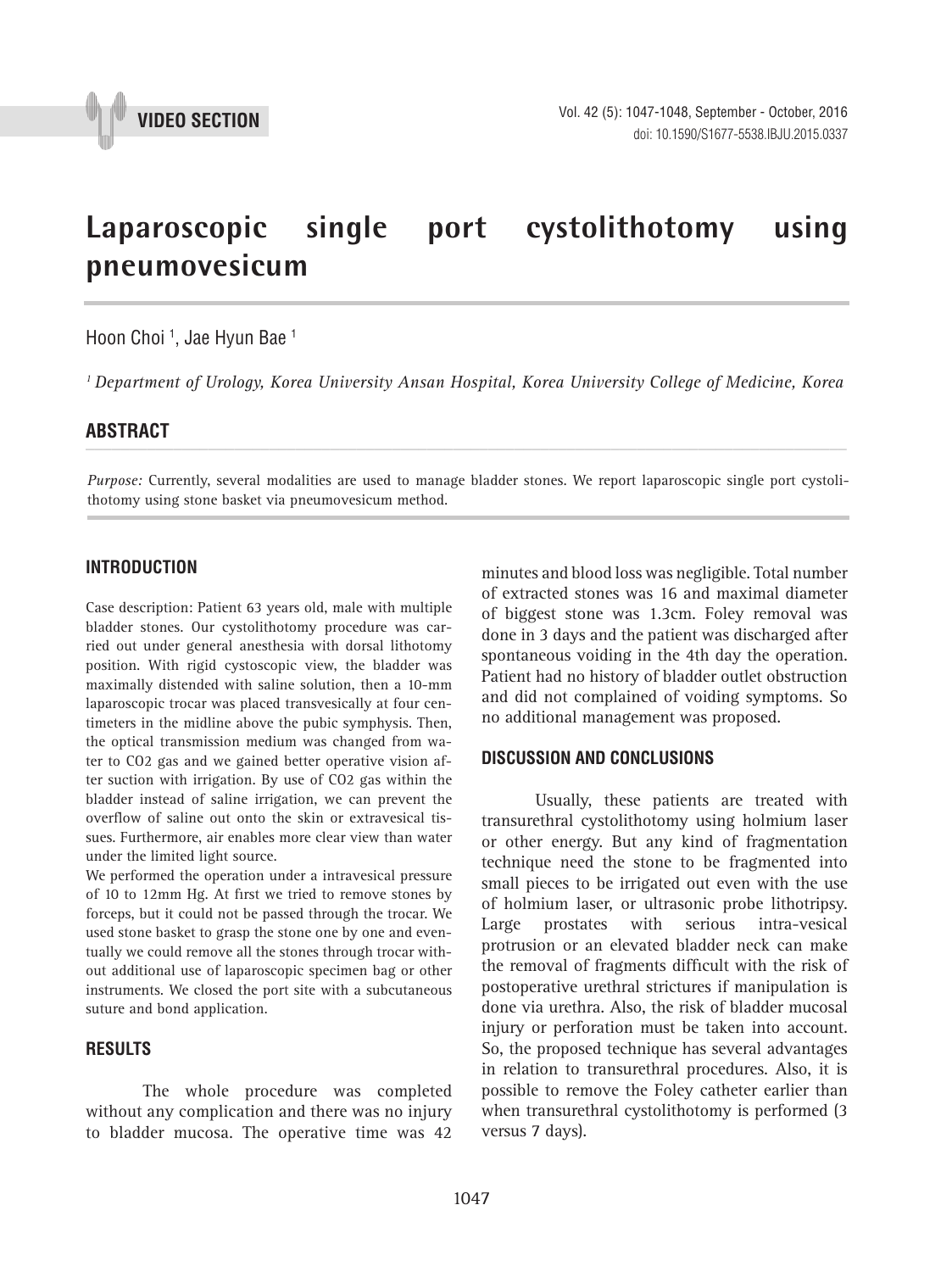

# **Laparoscopic single port cystolithotomy using pneumovesicum \_\_\_\_\_\_\_\_\_\_\_\_\_\_\_\_\_\_\_\_\_\_\_\_\_\_\_\_\_\_\_\_\_\_\_\_\_\_\_\_\_\_\_\_\_\_\_**

Hoon Choi 1 , Jae Hyun Bae 1

*1 Department of Urology, Korea University Ansan Hospital, Korea University College of Medicine, Korea*

# **ABSTRACT** *\_\_\_\_\_\_\_\_\_\_\_\_\_\_\_\_\_\_\_\_\_\_\_\_\_\_\_\_\_\_\_\_\_\_\_\_\_\_\_\_\_\_\_\_\_\_\_\_\_\_\_\_\_\_\_\_\_\_\_\_\_\_\_\_\_\_\_\_\_\_\_\_\_\_\_\_\_\_\_\_\_\_\_\_\_\_\_*

*Purpose:* Currently, several modalities are used to manage bladder stones. We report laparoscopic single port cystolithotomy using stone basket via pneumovesicum method.

### **INTRODUCTION**

Case description: Patient 63 years old, male with multiple bladder stones. Our cystolithotomy procedure was carried out under general anesthesia with dorsal lithotomy position. With rigid cystoscopic view, the bladder was maximally distended with saline solution, then a 10-mm laparoscopic trocar was placed transvesically at four centimeters in the midline above the pubic symphysis. Then, the optical transmission medium was changed from water to CO2 gas and we gained better operative vision after suction with irrigation. By use of CO2 gas within the bladder instead of saline irrigation, we can prevent the overflow of saline out onto the skin or extravesical tissues. Furthermore, air enables more clear view than water under the limited light source.

We performed the operation under a intravesical pressure of 10 to 12mm Hg. At first we tried to remove stones by forceps, but it could not be passed through the trocar. We used stone basket to grasp the stone one by one and eventually we could remove all the stones through trocar without additional use of laparoscopic specimen bag or other instruments. We closed the port site with a subcutaneous suture and bond application.

### **RESULTS**

The whole procedure was completed without any complication and there was no injury to bladder mucosa. The operative time was 42 minutes and blood loss was negligible. Total number of extracted stones was 16 and maximal diameter of biggest stone was 1.3cm. Foley removal was done in 3 days and the patient was discharged after spontaneous voiding in the 4th day the operation. Patient had no history of bladder outlet obstruction and did not complained of voiding symptoms. So no additional management was proposed.

#### **DISCUSSION AND CONCLUSIONS**

Usually, these patients are treated with transurethral cystolithotomy using holmium laser or other energy. But any kind of fragmentation technique need the stone to be fragmented into small pieces to be irrigated out even with the use of holmium laser, or ultrasonic probe lithotripsy. Large prostates with serious intra-vesical protrusion or an elevated bladder neck can make the removal of fragments difficult with the risk of postoperative urethral strictures if manipulation is done via urethra. Also, the risk of bladder mucosal injury or perforation must be taken into account. So, the proposed technique has several advantages in relation to transurethral procedures. Also, it is possible to remove the Foley catheter earlier than when transurethral cystolithotomy is performed (3 versus 7 days).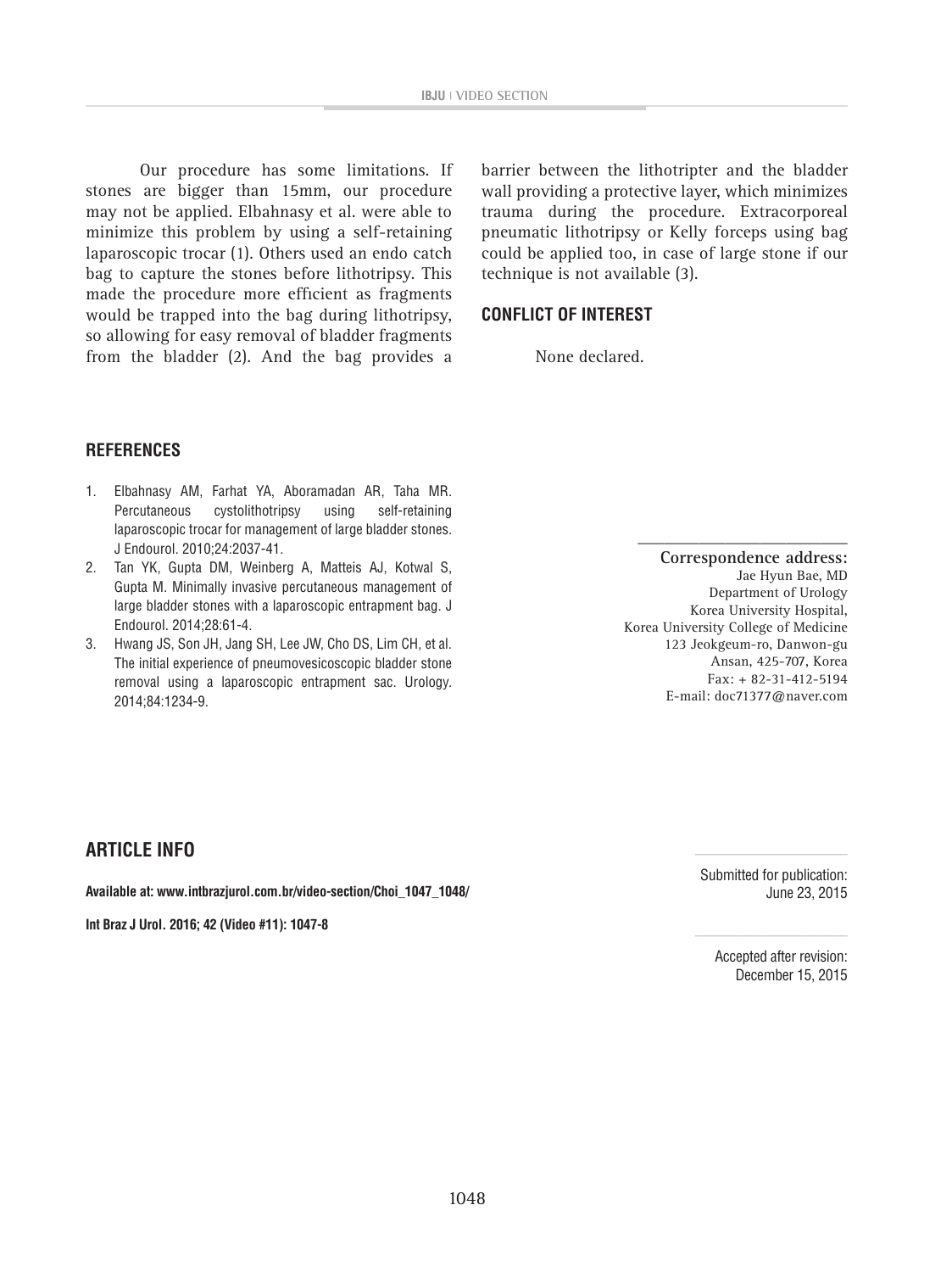Our procedure has some limitations. If stones are bigger than 15mm, our procedure may not be applied. Elbahnasy et al. were able to minimize this problem by using a self-retaining laparoscopic trocar (1). Others used an endo catch bag to capture the stones before lithotripsy. This made the procedure more efficient as fragments would be trapped into the bag during lithotripsy, so allowing for easy removal of bladder fragments from the bladder (2). And the bag provides a

barrier between the lithotripter and the bladder wall providing a protective layer, which minimizes trauma during the procedure. Extracorporeal pneumatic lithotripsy or Kelly forceps using bag could be applied too, in case of large stone if our technique is not available (3).

# **CONFLICT OF INTEREST**

None declared.

# **REFERENCES**

- 1. Elbahnasy AM, Farhat YA, Aboramadan AR, Taha MR. Percutaneous cystolithotripsy using self-retaining laparoscopic trocar for management of large bladder stones. J Endourol. 2010;24:2037-41.
- 2. Tan YK, Gupta DM, Weinberg A, Matteis AJ, Kotwal S, Gupta M. Minimally invasive percutaneous management of large bladder stones with a laparoscopic entrapment bag. J Endourol. 2014;28:61-4.
- 3. Hwang JS, Son JH, Jang SH, Lee JW, Cho DS, Lim CH, et al. The initial experience of pneumovesicoscopic bladder stone removal using a laparoscopic entrapment sac. Urology. 2014;84:1234-9.

**Correspondence address:** Jae Hyun Bae, MD Department of Urology Korea University Hospital, Korea University College of Medicine 123 Jeokgeum-ro, Danwon-gu Ansan, 425-707, Korea Fax: + 82-31-412-5194 E-mail: doc71377@naver.com

**\_\_\_\_\_\_\_\_\_\_\_\_\_\_\_\_\_\_\_\_\_\_\_\_**

# **ARTICLE INFO**

**Available at: www.intbrazjurol.com.br/video-section/Choi\_1047\_1048/**

**Int Braz J Urol. 2016; 42 (Video #11): 1047-8**

Submitted for publication: June 23, 2015

Accepted after revision: December 15, 2015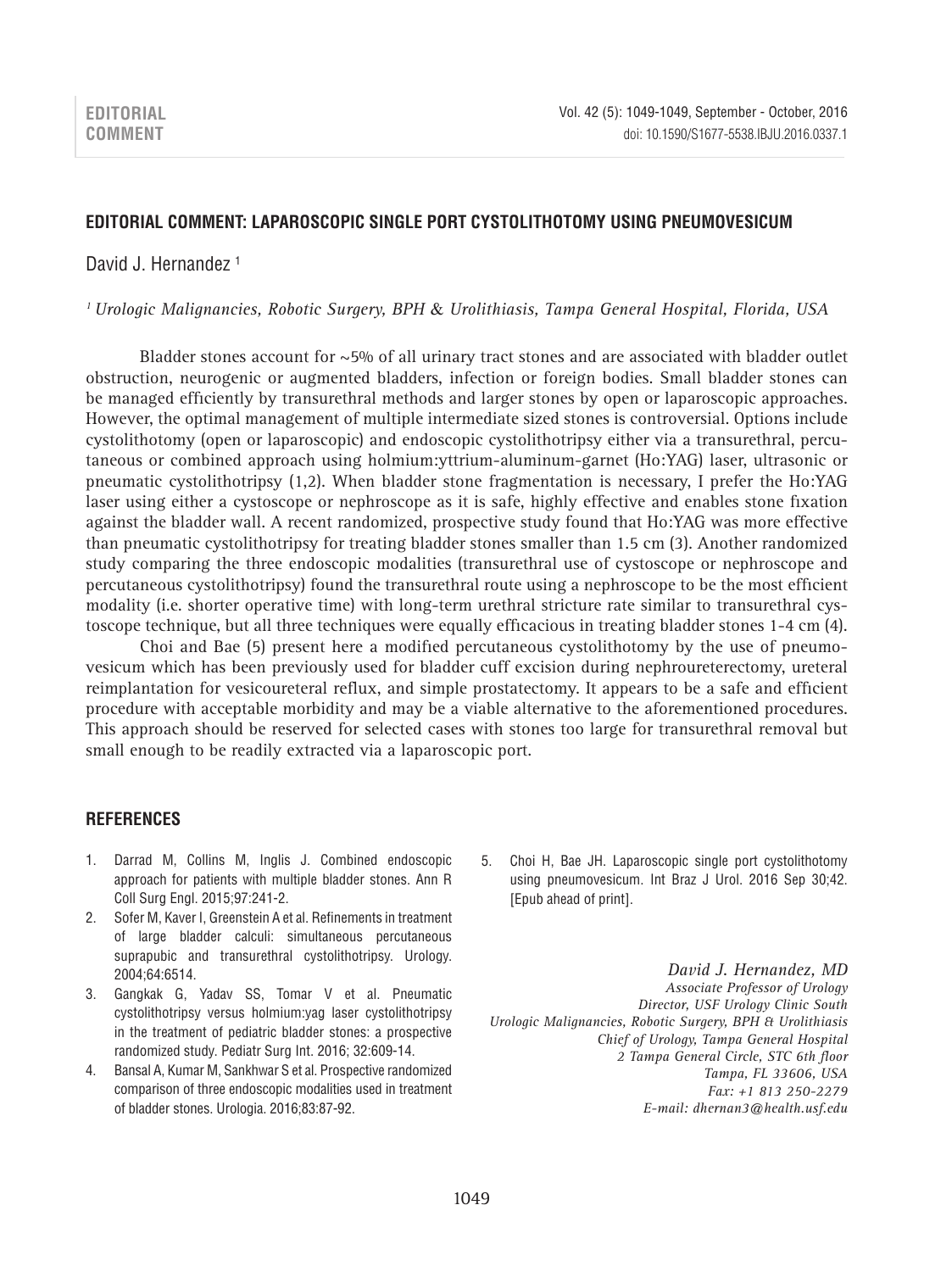## **Editorial Comment: Laparoscopic single port cystolithotomy using pneumovesicum**

# David J. Hernandez<sup>1</sup>

*1 Urologic Malignancies, Robotic Surgery, BPH* & *Urolithiasis, Tampa General Hospital, Florida, USA*

Bladder stones account for  $\sim$  5% of all urinary tract stones and are associated with bladder outlet obstruction, neurogenic or augmented bladders, infection or foreign bodies. Small bladder stones can be managed efficiently by transurethral methods and larger stones by open or laparoscopic approaches. However, the optimal management of multiple intermediate sized stones is controversial. Options include cystolithotomy (open or laparoscopic) and endoscopic cystolithotripsy either via a transurethral, percutaneous or combined approach using holmium:yttrium-aluminum-garnet (Ho:YAG) laser, ultrasonic or pneumatic cystolithotripsy (1,2). When bladder stone fragmentation is necessary, I prefer the Ho:YAG laser using either a cystoscope or nephroscope as it is safe, highly effective and enables stone fixation against the bladder wall. A recent randomized, prospective study found that Ho:YAG was more effective than pneumatic cystolithotripsy for treating bladder stones smaller than 1.5 cm (3). Another randomized study comparing the three endoscopic modalities (transurethral use of cystoscope or nephroscope and percutaneous cystolithotripsy) found the transurethral route using a nephroscope to be the most efficient modality (i.e. shorter operative time) with long-term urethral stricture rate similar to transurethral cystoscope technique, but all three techniques were equally efficacious in treating bladder stones 1-4 cm (4).

Choi and Bae (5) present here a modified percutaneous cystolithotomy by the use of pneumovesicum which has been previously used for bladder cuff excision during nephroureterectomy, ureteral reimplantation for vesicoureteral reflux, and simple prostatectomy. It appears to be a safe and efficient procedure with acceptable morbidity and may be a viable alternative to the aforementioned procedures. This approach should be reserved for selected cases with stones too large for transurethral removal but small enough to be readily extracted via a laparoscopic port.

## **References**

- 1. Darrad M, Collins M, Inglis J. Combined endoscopic approach for patients with multiple bladder stones. Ann R Coll Surg Engl. 2015;97:241-2.
- 2. Sofer M, Kaver I, Greenstein A et al. Refinements in treatment of large bladder calculi: simultaneous percutaneous suprapubic and transurethral cystolithotripsy. Urology. 2004;64:6514.
- 3. Gangkak G, Yadav SS, Tomar V et al. Pneumatic cystolithotripsy versus holmium:yag laser cystolithotripsy in the treatment of pediatric bladder stones: a prospective randomized study. Pediatr Surg Int. 2016; 32:609-14.
- 4. Bansal A, Kumar M, Sankhwar S et al. Prospective randomized comparison of three endoscopic modalities used in treatment of bladder stones. Urologia. 2016;83:87-92.

5. Choi H, Bae JH. Laparoscopic single port cystolithotomy using pneumovesicum. Int Braz J Urol. 2016 Sep 30;42. [Epub ahead of print].

*David J. Hernandez, MD Associate Professor of Urology Director, USF Urology Clinic South Urologic Malignancies, Robotic Surgery, BPH & Urolithiasis Chief of Urology, Tampa General Hospital 2 Tampa General Circle, STC 6th floor Tampa, FL 33606, USA Fax: +1 813 250-2279 E-mail: dhernan3@health.usf.edu*